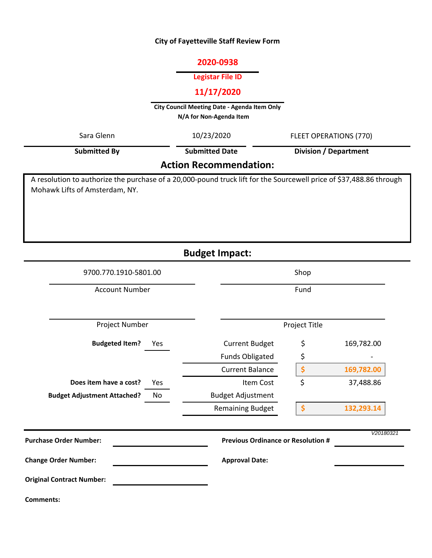## **City of Fayetteville Staff Review Form**

### **2020-0938**

## **Legistar File ID**

## **11/17/2020**

**City Council Meeting Date - Agenda Item Only N/A for Non-Agenda Item** 

| Sara Glenn                                                                                                                                            | 10/23/2020               | FLEET OPERATIONS (770)                    |            |  |  |  |
|-------------------------------------------------------------------------------------------------------------------------------------------------------|--------------------------|-------------------------------------------|------------|--|--|--|
| <b>Submitted By</b>                                                                                                                                   | <b>Submitted Date</b>    | <b>Division / Department</b>              |            |  |  |  |
| <b>Action Recommendation:</b>                                                                                                                         |                          |                                           |            |  |  |  |
| A resolution to authorize the purchase of a 20,000-pound truck lift for the Sourcewell price of \$37,488.86 through<br>Mohawk Lifts of Amsterdam, NY. |                          |                                           |            |  |  |  |
|                                                                                                                                                       | <b>Budget Impact:</b>    |                                           |            |  |  |  |
| 9700.770.1910-5801.00                                                                                                                                 |                          | Shop                                      |            |  |  |  |
| <b>Account Number</b><br>Fund                                                                                                                         |                          |                                           |            |  |  |  |
| Project Number                                                                                                                                        |                          | Project Title                             |            |  |  |  |
| <b>Budgeted Item?</b><br>Yes                                                                                                                          | <b>Current Budget</b>    | \$                                        | 169,782.00 |  |  |  |
|                                                                                                                                                       | <b>Funds Obligated</b>   | \$                                        |            |  |  |  |
|                                                                                                                                                       | <b>Current Balance</b>   | \$                                        | 169,782.00 |  |  |  |
| Does item have a cost?<br>Yes                                                                                                                         | Item Cost                | \$                                        | 37,488.86  |  |  |  |
| <b>Budget Adjustment Attached?</b><br>No                                                                                                              | <b>Budget Adjustment</b> |                                           |            |  |  |  |
|                                                                                                                                                       | <b>Remaining Budget</b>  | \$                                        | 132,293.14 |  |  |  |
| <b>Purchase Order Number:</b>                                                                                                                         |                          | <b>Previous Ordinance or Resolution #</b> | V20180321  |  |  |  |
| <b>Change Order Number:</b>                                                                                                                           | <b>Approval Date:</b>    |                                           |            |  |  |  |
| <b>Original Contract Number:</b>                                                                                                                      |                          |                                           |            |  |  |  |

**Comments:**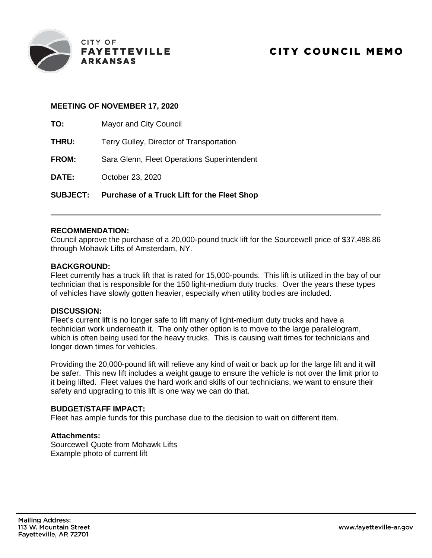

### **MEETING OF NOVEMBER 17, 2020**

**TO:** Mayor and City Council

| <b>SUBJECT:</b> | <b>Purchase of a Truck Lift for the Fleet Shop</b> |
|-----------------|----------------------------------------------------|
| DATE:           | October 23, 2020                                   |
| <b>FROM:</b>    | Sara Glenn, Fleet Operations Superintendent        |
| <b>THRU:</b>    | Terry Gulley, Director of Transportation           |
| 1U.             | <b>Mayor and City Council</b>                      |

### **RECOMMENDATION:**

Council approve the purchase of a 20,000-pound truck lift for the Sourcewell price of \$37,488.86 through Mohawk Lifts of Amsterdam, NY.

### **BACKGROUND:**

Fleet currently has a truck lift that is rated for 15,000-pounds. This lift is utilized in the bay of our technician that is responsible for the 150 light-medium duty trucks. Over the years these types of vehicles have slowly gotten heavier, especially when utility bodies are included.

#### **DISCUSSION:**

Fleet's current lift is no longer safe to lift many of light-medium duty trucks and have a technician work underneath it. The only other option is to move to the large parallelogram, which is often being used for the heavy trucks. This is causing wait times for technicians and longer down times for vehicles.

Providing the 20,000-pound lift will relieve any kind of wait or back up for the large lift and it will be safer. This new lift includes a weight gauge to ensure the vehicle is not over the limit prior to it being lifted. Fleet values the hard work and skills of our technicians, we want to ensure their safety and upgrading to this lift is one way we can do that.

#### **BUDGET/STAFF IMPACT:**

Fleet has ample funds for this purchase due to the decision to wait on different item.

## **Attachments:**

Sourcewell Quote from Mohawk Lifts Example photo of current lift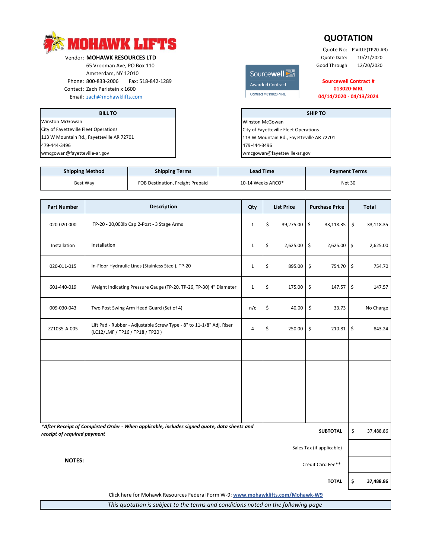

Vendor: **MOHAWK RESOURCES LTD**<br>
65 Vrooman Ave, PO Box 110<br>
65 Vrooman Ave, PO Box 110 65 Vrooman Ave, PO Box 110<br>
Amsterdam, NY 12010 Amsterdam, NY 12010 Phone: 800-833-2006 Fax: 518-842-1289 Contact: Zach Perlstein x 1600 Email: zach@mohawklifts.com

**BILL TO** Winston McGowan City of Fayetteville Fleet Operations 479-444-3496 wmcgowan@fayetteville-ar.gov 113 W Mountain Rd., Fayetteville AR 72701

# Awarded Contract Contract # 013020-MRL

## **013020-MRL Sourcewell Contract #**

Quote No: F'VILLE(TP20-AR)

**QUOTATION**

**04/14/2020 - 04/13/2024**

**TOTAL \$ 37,488.86**

City of Fayetteville Fleet Operations 113 W Mountain Rd., Fayetteville AR 72701 **SHIP TO** Winston McGowan 479-444-3496 wmcgowan@fayetteville-ar.gov

| <b>Shipping Method</b> | <b>Shipping Terms</b>            | <b>Lead Time</b>  | <b>Payment Terms</b> |  |
|------------------------|----------------------------------|-------------------|----------------------|--|
| Best Wav               | FOB Destination, Freight Prepaid | 10-14 Weeks ARCO* | <b>Net 30</b>        |  |

| <b>Part Number</b>                                                                                                                            | <b>Description</b>                                                                                      | Qty            |    | <b>List Price</b> | <b>Purchase Price</b> |                     | <b>Total</b> |
|-----------------------------------------------------------------------------------------------------------------------------------------------|---------------------------------------------------------------------------------------------------------|----------------|----|-------------------|-----------------------|---------------------|--------------|
| 020-020-000                                                                                                                                   | TP-20 - 20,000lb Cap 2-Post - 3 Stage Arms                                                              | $\mathbf{1}$   | \$ | 39,275.00         | \$<br>33,118.35       | \$                  | 33,118.35    |
| Installation                                                                                                                                  | Installation                                                                                            | $\mathbf{1}$   | \$ | 2,625.00          | \$<br>2,625.00        | \$                  | 2,625.00     |
| 020-011-015                                                                                                                                   | In-Floor Hydraulic Lines (Stainless Steel), TP-20                                                       | $\mathbf{1}$   | \$ | 895.00            | \$<br>754.70          | \$                  | 754.70       |
| 601-440-019                                                                                                                                   | Weight Indicating Pressure Gauge (TP-20, TP-26, TP-30) 4" Diameter                                      | $\mathbf{1}$   | \$ | 175.00            | \$<br>147.57          | \$                  | 147.57       |
| 009-030-043                                                                                                                                   | Two Post Swing Arm Head Guard (Set of 4)                                                                | n/c            | \$ | 40.00             | \$<br>33.73           |                     | No Charge    |
| ZZ1035-A-005                                                                                                                                  | Lift Pad - Rubber - Adjustable Screw Type - 8" to 11-1/8" Adj. Riser<br>(LC12/LMF / TP16 / TP18 / TP20) | $\overline{4}$ | \$ | 250.00            | \$<br>210.81          | $\ddot{\mathsf{S}}$ | 843.24       |
|                                                                                                                                               |                                                                                                         |                |    |                   |                       |                     |              |
|                                                                                                                                               |                                                                                                         |                |    |                   |                       |                     |              |
|                                                                                                                                               |                                                                                                         |                |    |                   |                       |                     |              |
|                                                                                                                                               |                                                                                                         |                |    |                   |                       |                     |              |
| *After Receipt of Completed Order - When applicable, includes signed quote, data sheets and<br><b>SUBTOTAL</b><br>receipt of required payment |                                                                                                         |                |    |                   | \$                    | 37,488.86           |              |
| Sales Tax (if applicable)                                                                                                                     |                                                                                                         |                |    |                   |                       |                     |              |
| <b>NOTES:</b><br>Credit Card Fee**                                                                                                            |                                                                                                         |                |    |                   |                       |                     |              |

[Click here for Mohawk Resources Federal Form W-9:](https://mohawklifts.com/library/Mohawk_Resources_W-9.pdf) **www.mohawklifts.com/Mohawk-W9**

*This quotation is subject to the terms and conditions noted on the following page*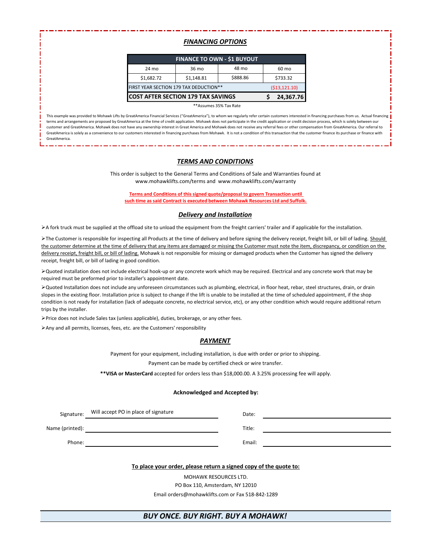#### *FINANCING OPTIONS*

| <b>FINANCE TO OWN - \$1 BUYOUT</b>        |                 |          |          |  |  |
|-------------------------------------------|-----------------|----------|----------|--|--|
| 24 mo                                     | 36 mo           | 48 mo    | 60 mo    |  |  |
| \$1,682.72                                | \$1,148.81      | \$888.86 | \$733.32 |  |  |
| FIRST YEAR SECTION 179 TAX DEDUCTION**    | ( \$13, 121.10) |          |          |  |  |
| <b>COST AFTER SECTION 179 TAX SAVINGS</b> | 24,367.76       |          |          |  |  |

\*\*Assumes 35% Tax Rate

This example was provided to Mohawk Lifts by GreatAmerica Financial Services ("GreatAmerica"), to whom we regularly refer certain customers interested in financing purchases from us. Actual financing terms and arrangements are proposed by GreatAmerica at the time of credit application. Mohawk does not participate in the credit application or credit decision process, which is solely between our customer and GreatAmerica. Mohawk does not have any ownership interest in Great America and Mohawk does not receive any referral fees or other compensation from GreatAmerica. Our referral to GreatAmerica is solely as a convenience to our customers interested in financing purchases from Mohawk. It is not a condition of this transaction that the customer finance its purchase or finance with GreatAmerica.

#### *TERMS AND CONDITIONS*

This order is subject to the General Terms and Conditions of Sale and Warranties found at www.mohawklifts.com/terms and www.mohawklifts.com/warranty

**Terms and Conditions of this signed quote/proposal to govern Transaction until such time as said Contract is executed between Mohawk Resources Ltd and Suffolk.**

#### *Delivery and Installation*

➢A fork truck must be supplied at the offload site to unload the equipment from the freight carriers' trailer and if applicable for the installation.

>The Customer is responsible for inspecting all Products at the time of delivery and before signing the delivery receipt, freight bill, or bill of lading. Should the customer determine at the time of delivery that any items are damaged or missing the Customer must note the item, discrepancy, or condition on the delivery receipt, freight bill, or bill of lading. Mohawk is not responsible for missing or damaged products when the Customer has signed the delivery receipt, freight bill, or bill of lading in good condition.

➢Quoted installation does not include electrical hook-up or any concrete work which may be required. Electrical and any concrete work that may be required must be preformed prior to installer's appointment date.

➢Quoted Installation does not include any unforeseen circumstances such as plumbing, electrical, in floor heat, rebar, steel structures, drain, or drain slopes in the existing floor. Installation price is subject to change if the lift is unable to be installed at the time of scheduled appointment, if the shop condition is not ready for installation (lack of adequate concrete, no electrical service, etc), or any other condition which would require additional return trips by the installer.

➢Price does not include Sales tax (unless applicable), duties, brokerage, or any other fees.

➢Any and all permits, licenses, fees, etc. are the Customers' responsibility

#### *PAYMENT*

Payment for your equipment, including installation, is due with order or prior to shipping.

Payment can be made by certified check or wire transfer.

**\*\*VISA or MasterCard** accepted for orders less than \$18,000.00. A 3.25% processing fee will apply.

#### **Acknowledged and Accepted by:**

| Signature:                                                        | Will accept PO in place of signature             | Date:  |  |  |
|-------------------------------------------------------------------|--------------------------------------------------|--------|--|--|
| Name (printed):                                                   |                                                  | Title: |  |  |
| Phone:                                                            |                                                  | Email: |  |  |
| To place your order, please return a signed copy of the quote to: |                                                  |        |  |  |
| <b>MOHAWK RESOURCES LTD.</b>                                      |                                                  |        |  |  |
| PO Box 110, Amsterdam, NY 12010                                   |                                                  |        |  |  |
|                                                                   | Email orders@mohawklifts.com or Fax 518-842-1289 |        |  |  |

#### *BUY ONCE. BUY RIGHT. BUY A MOHAWK!*